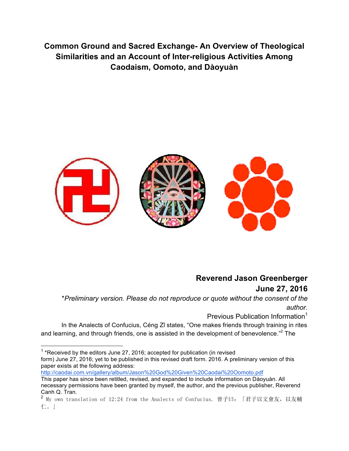**Common Ground and Sacred Exchange- An Overview of Theological Similarities and an Account of Inter-religious Activities Among Caodaism, Oomoto, and Dàoyuàn**



# **Reverend Jason Greenberger June 27, 2016**

\**Preliminary version. Please do not reproduce or quote without the consent of the author.*

Previous Publication Information<sup>1</sup>

In the Analects of Confucius, Céng Zǐ states, "One makes friends through training in rites and learning, and through friends, one is assisted in the development of benevolence. $^{32}$  The

 $1$ \*Received by the editors June 27, 2016; accepted for publication (in revised form) June 27, 2016; yet to be published in this revised draft form. 2016. A preliminary version of this paper exists at the following address:

http://caodai.com.vn/gallery/album/Jason%20God%20Given%20Caodai%20Oomoto.pdf

This paper has since been retitled, revised, and expanded to include information on Dàoyuàn. All necessary permissions have been granted by myself, the author, and the previous publisher, Reverend Canh Q. Tran.

<sup>2</sup> My own translation of 12:24 from the Analects of Confucius. 曾子曰:「君子以文會友,以友輔 仁。」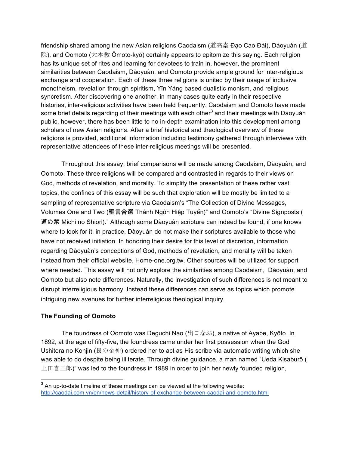friendship shared among the new Asian religions Caodaism (道高臺 Đạo Cao Đài), Dàoyuàn (道 院), and Oomoto (大本教 Ōmoto-kyō) certainly appears to epitomize this saying. Each religion has its unique set of rites and learning for devotees to train in, however, the prominent similarities between Caodaism, Dàoyuàn, and Oomoto provide ample ground for inter-religious exchange and cooperation. Each of these three religions is united by their usage of inclusive monotheism, revelation through spiritism, Yīn Yáng based dualistic monism, and religious syncretism. After discovering one another, in many cases quite early in their respective histories, inter-religious activities have been held frequently. Caodaism and Oomoto have made some brief details regarding of their meetings with each other<sup>3</sup> and their meetings with Dàoyuàn public, however, there has been little to no in-depth examination into this development among scholars of new Asian religions. After a brief historical and theological overview of these religions is provided, additional information including testimony gathered through interviews with representative attendees of these inter-religious meetings will be presented.

Throughout this essay, brief comparisons will be made among Caodaism, Dàoyuàn, and Oomoto. These three religions will be compared and contrasted in regards to their views on God, methods of revelation, and morality. To simplify the presentation of these rather vast topics, the confines of this essay will be such that exploration will be mostly be limited to a sampling of representative scripture via Caodaism's "The Collection of Divine Messages, Volumes One and Two (聖言合選 Thánh Ngôn Hiệp Tuyển)" and Oomoto's "Divine Signposts ( 道の栞 Michi no Shiori)." Although some Dàoyuàn scripture can indeed be found, if one knows where to look for it, in practice, Dàoyuàn do not make their scriptures available to those who have not received initiation. In honoring their desire for this level of discretion, information regarding Dàoyuàn's conceptions of God, methods of revelation, and morality will be taken instead from their official website, Home-one.org.tw. Other sources will be utilized for support where needed. This essay will not only explore the similarities among Caodaism, Dàoyuàn, and Oomoto but also note differences. Naturally, the investigation of such differences is not meant to disrupt interreligious harmony. Instead these differences can serve as topics which promote intriguing new avenues for further interreligious theological inquiry.

## **The Founding of Oomoto**

The foundress of Oomoto was Deguchi Nao (出口なお), a native of Ayabe, Kyōto. In 1892, at the age of fifty-five, the foundress came under her first possession when the God Ushitora no Konjin (艮の金神) ordered her to act as His scribe via automatic writing which she was able to do despite being illiterate. Through divine guidance, a man named "Ueda Kisaburō ( 上田喜三郎)" was led to the foundress in 1989 in order to join her newly founded religion,

 $3$  An up-to-date timeline of these meetings can be viewed at the following webite: http://caodai.com.vn/en/news-detail/history-of-exchange-between-caodai-and-oomoto.html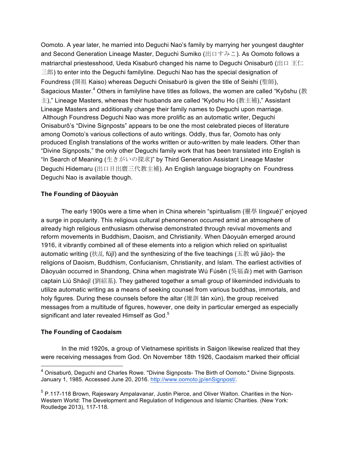Oomoto. A year later, he married into Deguchi Nao's family by marrying her youngest daughter and Second Generation Lineage Master, Deguchi Sumiko (出口すみこ). As Oomoto follows a matriarchal priestesshood, Ueda Kisaburō changed his name to Dequchi Onisaburō (出口 王仁 三郎) to enter into the Deguchi familyline. Deguchi Nao has the special designation of Foundress (開祖 Kaiso) whereas Deguchi Onisaburō is given the title of Seishi (聖師), Sagacious Master.<sup>4</sup> Others in familyline have titles as follows, the women are called "Kyōshu (教 主)," Lineage Masters, whereas their husbands are called "Kyōshu Ho (教主補)," Assistant Lineage Masters and additionally change their family names to Deguchi upon marriage. Although Foundress Deguchi Nao was more prolific as an automatic writer, Deguchi Onisaburō's "Divine Signposts" appears to be one the most celebrated pieces of literature among Oomoto's various collections of auto writings. Oddly, thus far, Oomoto has only produced English translations of the works written or auto-written by male leaders. Other than "Divine Signposts," the only other Deguchi family work that has been translated into English is "In Search of Meaning (生きがいの探求)" by Third Generation Assistant Lineage Master Deguchi Hidemaru (出口日出麿三代教主補). An English language biography on Foundress Deguchi Nao is available though.

### **The Founding of Dàoyuàn**

The early 1900s were a time when in China wherein "spiritualism (靈學 língxué)" enjoyed a surge in popularity. This religious cultural phenomenon occurred amid an atmosphere of already high religious enthusiasm otherwise demonstrated through revival movements and reform movements in Buddhism, Daoism, and Christianity. When Dàoyuàn emerged around 1916, it vibrantly combined all of these elements into a religion which relied on spiritualist automatic writing (扶乩 fújī) and the synthesizing of the five teachings (五教 wǔ jiào)- the religions of Daoism, Buddhism, Confucianism, Christianity, and Islam. The earliest activities of Dàoyuàn occurred in Shandong, China when magistrate Wú Fúsēn (吳福森) met with Garrison captain Liú Shàojī (劉紹基). They gathered together a small group of likeminded individuals to utilize automatic writing as a means of seeking counsel from various buddhas, immortals, and holy figures. During these counsels before the altar (壇訓 tán xùn), the group received messages from a multitude of figures, however, one deity in particular emerged as especially significant and later revealed Himself as God.<sup>5</sup>

#### **The Founding of Caodaism**

In the mid 1920s, a group of Vietnamese spiritists in Saigon likewise realized that they were receiving messages from God. On November 18th 1926, Caodaism marked their official

 $4$  Onisaburō, Deguchi and Charles Rowe. "Divine Signposts- The Birth of Oomoto." Divine Signposts. January 1, 1985. Accessed June 20, 2016. http://www.oomoto.jp/enSignpost/.

 $<sup>5</sup>$  P.117-118 Brown, Rajeswary Ampalavanar, Justin Pierce, and Oliver Walton. Charities in the Non-</sup> Western World: The Development and Regulation of Indigenous and Islamic Charities. (New York: Routledge 2013), 117-118.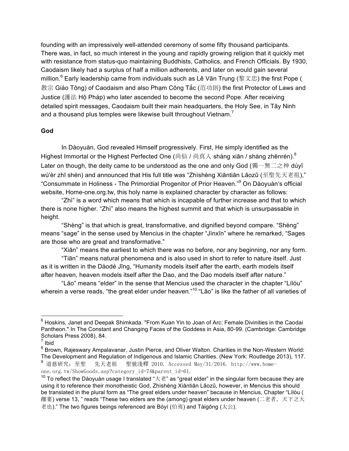founding with an impressively well-attended ceremony of some fifty thousand participants. There was, in fact, so much interest in the young and rapidly growing religion that it quickly met with resistance from status-quo maintaining Buddhists, Catholics, and French Officials. By 1930, Caodaism likely had a surplus of half a million adherents, and later on would gain several million.<sup>6</sup> Early leadership came from individuals such as Lê Văn Trung (黎文忠) the first Pope ( 教宗 Giáo Tông) of Caodaism and also Phạm Công Tắc (范功則) the first Protector of Laws and Justice (護法 Hộ Pháp) who later ascended to become the second Pope. After receiving detailed spirit messages, Caodaism built their main headquarters, the Holy See, in Tây Ninh and a thousand plus temples were likewise built throughout Vietnam.<sup>7</sup>

#### **God**

In Dàoyuàn, God revealed Himself progressively. First, He simply identified as the Highest Immortal or the Highest Perfected One (尚仙 / 尚真人 shàng xiān / shàng zhēnrén).<sup>8</sup> Later on though, the deity came to be understood as the one and only God (獨一無二之神 dúyī wú'èr zhī shén) and announced that His full title was "Zhìshèng Xiāntiān Lǎozǔ (至聖先天老祖)," "Consummate in Holiness - The Primordial Progenitor of Prior Heaven."<sup>9</sup> On Dàoyuàn's official website, Home-one.org.tw, this holy name is explained character by character as follows:

"Zhì" is a word which means that which is incapable of further increase and that to which there is none higher. "Zhì" also means the highest summit and that which is unsurpassable in height.

"Shèng" is that which is great, transformative, and dignified beyond compare. "Shèng" means "sage" in the sense used by Mencius in the chapter "Jìnxīn" where he remarked, "Sages are those who are great and transformative."

"Xiān" means the earliest to which there was no before, nor any beginning, nor any form.

"Tiān" means natural phenomena and is also used in short to refer to nature itself. Just as it is written in the Dàodé Jīng, "Humanity models itself after the earth, earth models itself after heaven, heaven models itself after the Dao, and the Dao models itself after nature."

"Lǎo" means "elder" in the sense that Mencius used the character in the chapter "Lílóu" wherein a verse reads, "the great elder under heaven."<sup>10</sup> "Lǎo" is like the father of all varieties of

 $6$  Hoskins, Janet and Deepak Shimkada. "From Kuan Yin to Joan of Arc: Female Divinities in the Caodai Pantheon." In The Constant and Changing Faces of the Goddess in Asia, 80-99. (Cambridge: Cambridge Scholars Press 2008), 84.

 $<sup>7</sup>$  Ibid</sup>

<sup>8</sup> Brown, Rajeswary Ampalavanar, Justin Pierce, and Oliver Walton. Charities in the Non-Western World: The Development and Regulation of Indigenous and Islamic Charities. (New York: Routledge 2013), 117.<br><sup>9</sup> 道慈研究: 至聖 先天老祖 聖號淺釋 2010. Accessed May/31/2016. http://www.home-先天老祖 聖號淺釋 2010. Accessed May/31/2016. http://www.homeone.org.tw/ShowGoods.asp?category\_id=74&parent\_id=61.

 $^{10}$  To reflect the Dàoyuàn usage I translated "大老" as "great elder" in the singular form because they are using it to reference their monotheistic God, Zhìshèng Xiāntiān Lǎozǔ, however, in Mencius this should be translated in the plural form as "The great elders under heaven" because in Mencius, Chapter "Lílóu ( 離婁) verse 13, " reads "These two elders are the (among) great elders under heaven (二老者,天下之大 老也)." The two figures beings referenced are Bóyí (伯夷) and Tàigōng (太公).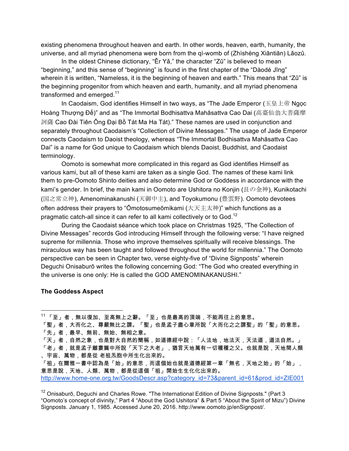existing phenomena throughout heaven and earth. In other words, heaven, earth, humanity, the universe, and all myriad phenomena were born from the qì-womb of (Zhìshèng Xiāntiān) Lǎozǔ.

In the oldest Chinese dictionary, "Ěr Yǎ," the character "Zǔ" is believed to mean "beginning," and this sense of "beginning" is found in the first chapter of the "Dàodé Jīng" wherein it is written, "Nameless, it is the beginning of heaven and earth." This means that "Zǔ" is the beginning progenitor from which heaven and earth, humanity, and all myriad phenomena transformed and emerged.<sup>11</sup>

In Caodaism, God identifies Himself in two ways, as "The Jade Emperor (玉皇上帝 Ngọc Hoàng Thượng Đế)" and as "The Immortal Bodhisattva Mahāsattva Cao Dai (高臺仙翁大菩薩摩 訶薩 Cao Đài Tiên Ông Đại Bồ Tát Ma Ha Tát)." These names are used in conjunction and separately throughout Caodaism's "Collection of Divine Messages." The usage of Jade Emperor connects Caodaism to Daoist theology, whereas "The Immortal Bodhisattva Mahāsattva Cao Dai" is a name for God unique to Caodaism which blends Daoist, Buddhist, and Caodaist terminology.

Oomoto is somewhat more complicated in this regard as God identifies Himself as various kami, but all of these kami are taken as a single God. The names of these kami link them to pre-Oomoto Shinto deities and also determine God or Goddess in accordance with the kami's gender. In brief, the main kami in Oomoto are Ushitora no Konjin (艮の金神), Kunikotachi (国之常立神), Amenominakanushi (天御中主), and Toyokumonu (豊雲野). Oomoto devotees often address their prayers to "Ōmotosumeōmikami (大天主太神)" which functions as a pragmatic catch-all since it can refer to all kami collectively or to God.<sup>12</sup>

During the Caodaist séance which took place on Christmas 1925, "The Collection of Divine Messages" records God introducing Himself through the following verse: "I have reigned supreme for millennia. Those who improve themselves spiritually will receive blessings. The miraculous way has been taught and followed throughout the world for millennia." The Oomoto perspective can be seen in Chapter two, verse eighty-five of "Divine Signposts" wherein Deguchi Onisaburō writes the following concerning God: "The God who created everything in the universe is one only: He is called the GOD AMENOMINAKANUSHI."

#### **The Goddess Aspect**

「祖」在爾雅一書中認為是「始」的意思,而這個始也就是道德經第一章「無名,天地之始」的「始」, 意思是說,天地、人類、萬物,都是從這個「祖」開始生生化化出來的。 http://www.home-one.org.tw/GoodsDescr.asp?category\_id=73&parent\_id=61&prod\_id=ZIE001

 <sup>11</sup> 「至」者,無以復加、至高無上之辭。「至」也是最高的頂端,不能再往上的意思。

<sup>「</sup>聖」者,大而化之、尊嚴無比之謂。「聖」也是孟子盡心章所說「大而化之之謂聖」的「聖」的意思。 「先」者,最早、無前、無始、無相之意。

<sup>「</sup>天」者,自然之象,也是對大自然的簡稱,如道德經中說:「人法地,地法天,天法道,道法自然。」 「老」者,就是孟子離婁篇中所說「天下之大老」,猶言天地萬有一切種種之父。也就是說,天地間人類 、宇宙、萬物,都是從 老祖炁胞中所生化出來的。

 $12$  Onisaburō, Deguchi and Charles Rowe. "The International Edition of Divine Signposts." (Part 3 "Oomoto's concept of divinity," Part 4 "About the God Ushitora" & Part 5 "About the Spirit of Mizu") Divine Signposts. January 1, 1985. Accessed June 20, 2016. http://www.oomoto.jp/enSignpost/.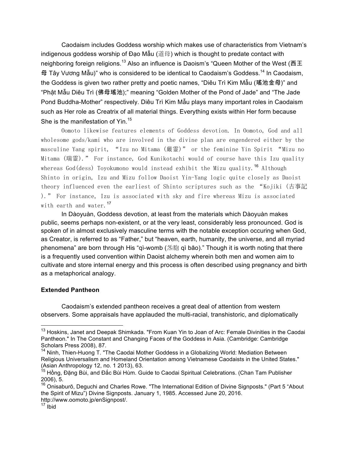Caodaism includes Goddess worship which makes use of characteristics from Vietnam's indigenous goddess worship of Đạo Mẫu (道母) which is thought to predate contact with neighboring foreign religions.<sup>13</sup> Also an influence is Daoism's "Queen Mother of the West (西王 母 Tây Vương Mẫu)" who is considered to be identical to Caodaism's Goddess.<sup>14</sup> In Caodaism, the Goddess is given two rather pretty and poetic names, "Diêu Trì Kim Mẫu (瑤池金母)" and "Phật Mẫu Diêu Trì (佛母瑤池);" meaning "Golden Mother of the Pond of Jade" and "The Jade Pond Buddha-Mother" respectively. Diêu Trì Kim Mẫu plays many important roles in Caodaism such as Her role as Creatrix of all material things. Everything exists within Her form because She is the manifestation of Yin.<sup>15</sup>

Oomoto likewise features elements of Goddess devotion. In Oomoto, God and all wholesome gods/kami who are involved in the divine plan are engendered either by the masculine Yang spirit, "Izu no Mitama (厳霊)" or the feminine Yin Spirit "Mizu no Mitama (瑞霊)." For instance, God Kunikotachi would of course have this Izu quality whereas God(dess) Toyokumono would instead exhibit the Mizu quality.<sup>16</sup> Although Shinto in origin, Izu and Mizu follow Daoist Yin-Yang logic quite closely as Daoist theory influenced even the earliest of Shinto scriptures such as the "Kojiki (古事記 )." For instance, Izu is associated with sky and fire whereas Mizu is associated with earth and water.<sup>17</sup>

In Dàoyuàn, Goddess devotion, at least from the materials which Dàoyuàn makes public, seems perhaps non-existent, or at the very least, considerably less pronounced. God is spoken of in almost exclusively masculine terms with the notable exception occuring when God, as Creator, is referred to as "Father," but "heaven, earth, humanity, the universe, and all myriad phenomena" are born through His "qì-womb (炁胞 qì bāo)." Though it is worth noting that there is a frequently used convention within Daoist alchemy wherein both men and women aim to cultivate and store internal energy and this process is often described using pregnancy and birth as a metaphorical analogy.

#### **Extended Pantheon**

Caodaism's extended pantheon receives a great deal of attention from western observers. Some appraisals have applauded the multi-racial, transhistoric, and diplomatically

<sup>&</sup>lt;sup>13</sup> Hoskins, Janet and Deepak Shimkada. "From Kuan Yin to Joan of Arc: Female Divinities in the Caodai Pantheon." In The Constant and Changing Faces of the Goddess in Asia. (Cambridge: Cambridge Scholars Press 2008), 87.

<sup>&</sup>lt;sup>14</sup> Ninh, Thien-Huong T. "The Caodai Mother Goddess in a Globalizing World: Mediation Between Religious Universalism and Homeland Orientation among Vietnamese Caodaists in the United States." (Asian Anthropology 12, no. 1 2013), 63.

<sup>&</sup>lt;sup>15</sup> Hồng, Đặng Bùi, and Đắc Bùi Hùm. Guide to Caodai Spiritual Celebrations. (Chan Tam Publisher 2006), 5.

<sup>&</sup>lt;sup>16</sup> Onisaburō, Dequchi and Charles Rowe. "The International Edition of Divine Signposts." (Part 5 "About the Spirit of Mizu") Divine Signposts. January 1, 1985. Accessed June 20, 2016. http://www.oomoto.jp/enSignpost/.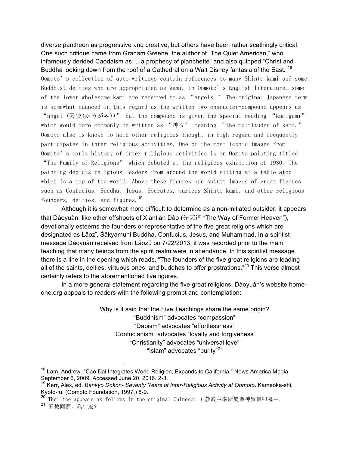diverse pantheon as progressive and creative, but others have been rather scathingly critical. One such critique came from Graham Greene, the author of "The Quiet American," who infamously derided Caodaism as "...a prophecy of planchette" and also quipped "Christ and Buddha looking down from the roof of a Cathedral on a Walt Disney fantasia of the East."<sup>18</sup> Oomoto's collection of auto writings contain references to many Shinto kami and some Buddhist deities who are appropriated as kami. In Oomoto's English literature, some of the lower wholesome kami are referred to as "angels." The original Japanese term is somewhat nuanced in this regard as the written two character-compound appears as "angel (天使(かみがみ))" but the compound is given the special reading "kamigami" which would more commonly be written as "神々" meaning "the multitudes of kami." Oomoto also is known to hold other religious thought in high regard and frequently participates in inter-religious activities. One of the most iconic images from Oomoto's early history of inter-religious activities is an Oomoto painting titled "The Family of Religions" which debuted at the religious exhibition of 1930. The painting depicts religious leaders from around the world sitting at a table atop which is a map of the world. Above these figures are spirit images of great figures such as Confucius, Buddha, Jesus, Socrates, various Shinto kami, and other religious founders, deities, and figures.<sup>19</sup>

Although it is somewhat more difficult to determine as a non-initiated outsider, it appears that Dàoyuàn, like other offshoots of Xiāntiān Dào (先天道 "The Way of Former Heaven"), devotionally esteems the founders or representative of the five great religions which are designated as Lǎozǐ, Śākyamuni Buddha, Confucius, Jesus, and Muhammad. In a spiritist message Dàoyuàn received from Lǎozǔ on 7/22/2013, it was recorded prior to the main teaching that many beings from the spirit realm were in attendance. In this spiritist message there is a line in the opening which reads, "The founders of the five great religions are leading all of the saints, deities, virtuous ones, and buddhas to offer prostrations."<sup>20</sup> This verse almost certainly refers to the aforementioned five figures.

In a more general statement regarding the five great religions, Dàoyuàn's website homeone.org appeals to readers with the following prompt and contemplation:

> Why is it said that the Five Teachings share the same origin? "Buddhism" advocates "compassion" "Daoism" advocates "effortlessness" "Confucianism" advocates "loyalty and forgiveness" "Christianity" advocates "universal love" "Islam" advocates "purity"<sup>21</sup>

<sup>&</sup>lt;sup>18</sup> Lam, Andrew. "Cao Dai Integrates World Religion, Expands to California." News America Media. September 6, 2009. Accessed June 20, 2016. 2-3.

<sup>19</sup> Kerr, Alex, ed. *Bankyo Dokon- Seventy Years of Inter-Religious Activity at Oomoto*. Kameoka-shi, Kyoto-fu: (Oomoto Foundation, 1997,) 8-9.

<sup>20</sup> The line appears as follows in the original Chinese: 五教教主率所屬聖神賢佛叩幕中。

<sup>21</sup> 五教同源,為什麼?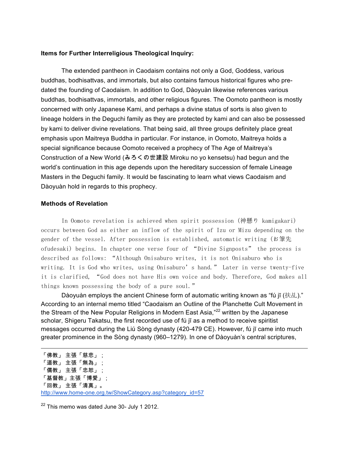#### **Items for Further Interreligious Theological Inquiry:**

The extended pantheon in Caodaism contains not only a God, Goddess, various buddhas, bodhisattvas, and immortals, but also contains famous historical figures who predated the founding of Caodaism. In addition to God, Dàoyuàn likewise references various buddhas, bodhisattvas, immortals, and other religious figures. The Oomoto pantheon is mostly concerned with only Japanese Kami, and perhaps a divine status of sorts is also given to lineage holders in the Deguchi family as they are protected by kami and can also be possessed by kami to deliver divine revelations. That being said, all three groups definitely place great emphasis upon Maitreya Buddha in particular. For instance, in Oomoto, Maitreya holds a special significance because Oomoto received a prophecy of The Age of Maitreya's Construction of a New World (みろくの世建設 Miroku no yo kensetsu) had begun and the world's continuation in this age depends upon the hereditary succession of female Lineage Masters in the Deguchi family. It would be fascinating to learn what views Caodaism and Dàoyuàn hold in regards to this prophecy.

#### **Methods of Revelation**

In Oomoto revelation is achieved when spirit possession (神懸り kamigakari) occurs between God as either an inflow of the spirit of Izu or Mizu depending on the gender of the vessel. After possession is established, automatic writing (お筆先 ofudesaki) begins. In chapter one verse four of "Divine Signposts" the process is described as follows: "Although Onisaburo writes, it is not Onisaburo who is writing. It is God who writes, using Onisaburo's hand." Later in verse twenty-five it is clarified, "God does not have His own voice and body. Therefore, God makes all things known possessing the body of a pure soul."

Dàoyuàn employs the ancient Chinese form of automatic writing known as "fú jī (扶乩)." According to an internal memo titled "Caodaism an Outline of the Planchette Cult Movement in the Stream of the New Popular Religions in Modern East Asia,"<sup>22</sup> written by the Japanese scholar, Shigeru Takatsu, the first recorded use of fú jī as a method to receive spiritist messages occurred during the Liú Sòng dynasty (420-479 CE). However, fú jī came into much greater prominence in the Sòng dynasty (960–1279). In one of Dàoyuàn's central scriptures,

 $22$  This memo was dated June 30- July 1 2012.

<sup>「</sup>佛教」 主張「慈悲」; 「道教」 主張「無為」; 「儒教」 主張「忠恕」; 「基督教」主張「博愛」; 「回教」 主張「清真」。 http://www.home-one.org.tw/ShowCategory.asp?category\_id=57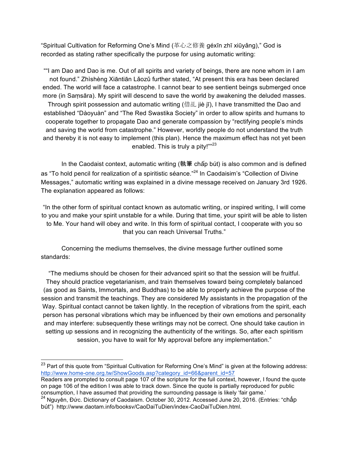"Spiritual Cultivation for Reforming One's Mind (革心之修養 géxīn zhī xiūyǎng)," God is recorded as stating rather specifically the purpose for using automatic writing:

""I am Dao and Dao is me. Out of all spirits and variety of beings, there are none whom in I am not found." Zhìshèng Xiāntiān Lǎozǔ further stated, "At present this era has been declared ended. The world will face a catastrophe. I cannot bear to see sentient beings submerged once more (in Saṃsāra). My spirit will descend to save the world by awakening the deluded masses. Through spirit possession and automatic writing (借乩 jiè jī), I have transmitted the Dao and established "Dàoyuàn" and "The Red Swastika Society" in order to allow spirits and humans to cooperate together to propagate Dao and generate compassion by "rectifying people's minds and saving the world from catastrophe." However, worldly people do not understand the truth and thereby it is not easy to implement (this plan). Hence the maximum effect has not yet been enabled. This is truly a pity!""<sup>23</sup>

In the Caodaist context, automatic writing (執筆 chấp bút) is also common and is defined as "To hold pencil for realization of a spiritistic séance."<sup>24</sup> In Caodaisim's "Collection of Divine Messages," automatic writing was explained in a divine message received on January 3rd 1926. The explanation appeared as follows:

"In the other form of spiritual contact known as automatic writing, or inspired writing, I will come to you and make your spirit unstable for a while. During that time, your spirit will be able to listen to Me. Your hand will obey and write. In this form of spiritual contact, I cooperate with you so that you can reach Universal Truths."

Concerning the mediums themselves, the divine message further outlined some standards:

"The mediums should be chosen for their advanced spirit so that the session will be fruitful. They should practice vegetarianism, and train themselves toward being completely balanced (as good as Saints, Immortals, and Buddhas) to be able to properly achieve the purpose of the session and transmit the teachings. They are considered My assistants in the propagation of the Way. Spiritual contact cannot be taken lightly. In the reception of vibrations from the spirit, each person has personal vibrations which may be influenced by their own emotions and personality and may interfere: subsequently these writings may not be correct. One should take caution in setting up sessions and in recognizing the authenticity of the writings. So, after each spiritism session, you have to wait for My approval before any implementation."

 $23$  Part of this quote from "Spiritual Cultivation for Reforming One's Mind" is given at the following address: http://www.home-one.org.tw/ShowGoods.asp?category\_id=66&parent\_id=57

Readers are prompted to consult page 107 of the scripture for the full context, however, I found the quote on page 106 of the edition I was able to track down. Since the quote is partially reproduced for public consumption, I have assumed that providing the surrounding passage is likely 'fair game.'

<sup>&</sup>lt;sup>24</sup> Nguyên, Đức. Dictionary of Caodaism. October 30, 2012. Accessed June 20, 2016. (Entries: "chấp bút") http://www.daotam.info/booksv/CaoDaiTuDien/index-CaoDaiTuDien.html.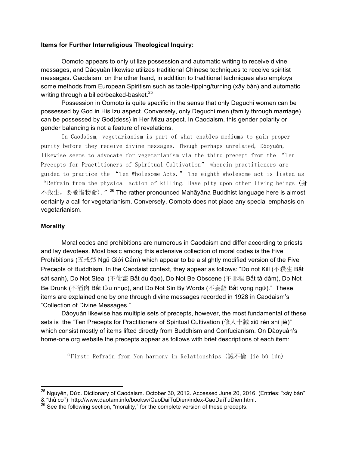#### **Items for Further Interreligious Theological Inquiry:**

Oomoto appears to only utilize possession and automatic writing to receive divine messages, and Dàoyuàn likewise utilizes traditional Chinese techniques to receive spiritist messages. Caodaism, on the other hand, in addition to traditional techniques also employs some methods from European Spiritism such as table-tipping/turning (xây bàn) and automatic writing through a billed/beaked-basket.<sup>25</sup>

Possession in Oomoto is quite specific in the sense that only Deguchi women can be possessed by God in His Izu aspect. Conversely, only Deguchi men (family through marriage) can be possessed by God(dess) in Her Mizu aspect. In Caodaism, this gender polarity or gender balancing is not a feature of revelations.

In Caodaism, vegetarianism is part of what enables mediums to gain proper purity before they receive divine messages. Though perhaps unrelated, Dàoyuàn, likewise seems to advocate for vegetarianism via the third precept from the "Ten Precepts for Practitioners of Spiritual Cultivation" wherein practitioners are guided to practice the "Ten Wholesome Acts." The eighth wholesome act is listed as "Refrain from the physical action of killing. Have pity upon other living beings (身 不殺生, 要愛惜物命). "<sup>26</sup> The rather pronounced Mahāyāna Buddhist language here is almost certainly a call for vegetarianism. Conversely, Oomoto does not place any special emphasis on vegetarianism.

#### **Morality**

Moral codes and prohibitions are numerous in Caodaism and differ according to priests and lay devotees. Most basic among this extensive collection of moral codes is the Five Prohibitions (五戒禁 Ngũ Giới Cấm) which appear to be a slightly modified version of the Five Precepts of Buddhism. In the Caodaist context, they appear as follows: "Do not Kill (不殺生 Bất sát sanh), Do Not Steal (不偷盜 Bất du đạo), Do Not Be Obscene (不邪淫 Bất tà dâm), Do Not Be Drunk (不酒肉 Bất tửu nhuc), and Do Not Sin By Words (不妄語 Bất vong ngữ)." These items are explained one by one through divine messages recorded in 1928 in Caodaism's "Collection of Divine Messages."

Dàoyuàn likewise has multiple sets of precepts, however, the most fundamental of these sets is the "Ten Precepts for Practitioners of Spiritual Cultivation (修人十誡 xiū rén shí jiè)" which consist mostly of items lifted directly from Buddhism and Confucianism. On Dàoyuàn's home-one.org website the precepts appear as follows with brief descriptions of each item:

"First: Refrain from Non-harmony in Relationships (誡不倫 jiè bù lún)

<sup>&</sup>lt;sup>25</sup> Nguyên, Đức. Dictionary of Caodaism. October 30, 2012. Accessed June 20, 2016. (Entries: "xây bàn" & "thủ cơ") http://www.daotam.info/booksv/CaoDaiTuDien/index-CaoDaiTuDien.html.

 $^{26}$  See the following section, "morality," for the complete version of these precepts.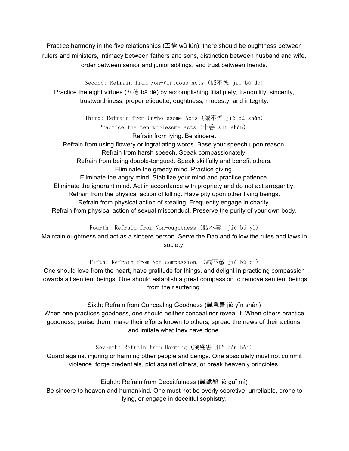Practice harmony in the five relationships (五倫 wǔ lún): there should be oughtness between rulers and ministers, intimacy between fathers and sons, distinction between husband and wife, order between senior and junior siblings, and trust between friends.

Second: Refrain from Non-Virtuous Acts (誡不德 jiè bù dé) Practice the eight virtues (八德 bā dé) by accomplishing filial piety, tranquility, sincerity,

trustworthiness, proper etiquette, oughtness, modesty, and integrity.

Third: Refrain from Unwholesome Acts (誡不善 jiè bú shàn) Practice the ten wholesome acts (十善 shí shàn)-

Refrain from lying. Be sincere.

Refrain from using flowery or ingratiating words. Base your speech upon reason. Refrain from harsh speech. Speak compassionately.

Refrain from being double-tongued. Speak skillfully and benefit others. Eliminate the greedy mind. Practice giving.

Eliminate the angry mind. Stabilize your mind and practice patience. Eliminate the ignorant mind. Act in accordance with propriety and do not act arrogantly. Refrain from the physical action of killing. Have pity upon other living beings. Refrain from physical action of stealing. Frequently engage in charity. Refrain from physical action of sexual misconduct. Preserve the purity of your own body.

Fourth: Refrain from Non-oughtness (誡不義 jiè bú yì)

Maintain oughtness and act as a sincere person. Serve the Dao and follow the rules and laws in society.

Fifth: Refrain from Non-compassion. (誡不慈 jiè bù cí)

One should love from the heart, have gratitude for things, and delight in practicing compassion towards all sentient beings. One should establish a great compassion to remove sentient beings from their suffering.

Sixth: Refrain from Concealing Goodness (誡隱善 jiè yǐn shàn)

When one practices goodness, one should neither conceal nor reveal it. When others practice goodness, praise them, make their efforts known to others, spread the news of their actions, and imitate what they have done.

Seventh: Refrain from Harming (誡殘害 jiè cán hài)

Guard against injuring or harming other people and beings. One absolutely must not commit violence, forge credentials, plot against others, or break heavenly principles.

Eighth: Refrain from Deceitfulness (誡詭秘 jiè guǐ mì)

Be sincere to heaven and humankind. One must not be overly secretive, unreliable, prone to lying, or engage in deceitful sophistry.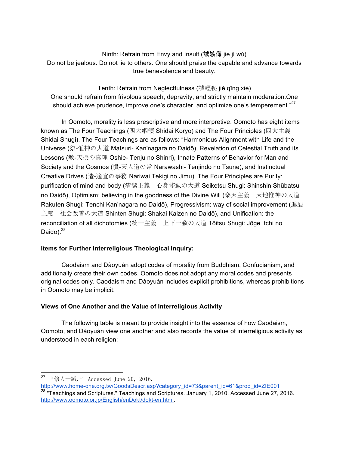Ninth: Refrain from Envy and Insult (誡嫉侮 jiè jí wǔ) Do not be jealous. Do not lie to others. One should praise the capable and advance towards true benevolence and beauty.

Tenth: Refrain from Neglectfulness (誡輕褻 jiè qīng xiè) One should refrain from frivolous speech, depravity, and strictly maintain moderation.One should achieve prudence, improve one's character, and optimize one's temperement."<sup>27</sup>

In Oomoto, morality is less prescriptive and more interpretive. Oomoto has eight items known as The Four Teachings (四大綱領 Shidai Kōryō) and The Four Principles (四大主義 Shidai Shugi). The Four Teachings are as follows: "Harmonious Alignment with Life and the Universe (祭-惟神の大道 Matsuri- Kan'nagara no Daidō), Revelation of Celestial Truth and its Lessons (教-天授の真理 Oshie- Tenju no Shinri), Innate Patterns of Behavior for Man and Society and the Cosmos (慣-天人道の常 Narawashi- Tenjindō no Tsune), and Instinctual Creative Drives (造-適宜の事務 Nariwai Tekigi no Jimu). The Four Principles are Purity: purification of mind and body (清潔主義 心身修祓の大道 Seiketsu Shugi: Shinshin Shūbatsu no Daidō), Optimism: believing in the goodness of the Divine Will (楽天主義 天地惟神の大道 Rakuten Shugi: Tenchi Kan'nagara no Daidō), Progressivism: way of social improvement (進展 主義 社会改善の大道 Shinten Shugi: Shakai Kaizen no Daidō), and Unification: the reconciliation of all dichotomies (統一主義 上下一致の大道 Tōitsu Shugi: Jōge Itchi no Daidō). $28$ 

# **Items for Further Interreligious Theological Inquiry:**

Caodaism and Dàoyuàn adopt codes of morality from Buddhism, Confucianism, and additionally create their own codes. Oomoto does not adopt any moral codes and presents original codes only. Caodaism and Dàoyuàn includes explicit prohibitions, whereas prohibitions in Oomoto may be implicit.

# **Views of One Another and the Value of Interreligious Activity**

The following table is meant to provide insight into the essence of how Caodaism, Oomoto, and Dàoyuàn view one another and also records the value of interreligious activity as understood in each religion:

 <sup>27</sup> "修人十誡." Accessed June 20, 2016.

http://www.home-one.org.tw/GoodsDescr.asp?category\_id=73&parent\_id=61&prod\_id=ZIE001 <sup>28</sup> "Teachings and Scriptures." Teachings and Scriptures. January 1, 2010. Accessed June 27, 2016. http://www.oomoto.or.jp/English/enDokt/dokt-en.html.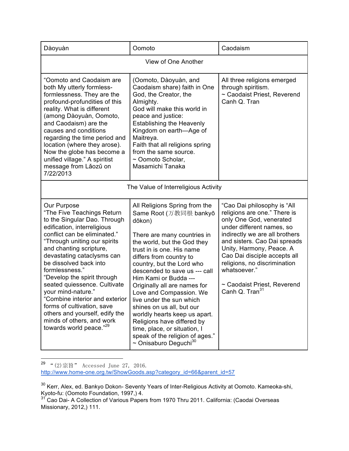| Dàoyuàn                                                                                                                                                                                                                                                                                                                                                                                                                                                                                                                                  | Oomoto                                                                                                                                                                                                                                                                                                                                                                                                                                                                                                                                                                         | Caodaism                                                                                                                                                                                                                                                                                                                                                       |
|------------------------------------------------------------------------------------------------------------------------------------------------------------------------------------------------------------------------------------------------------------------------------------------------------------------------------------------------------------------------------------------------------------------------------------------------------------------------------------------------------------------------------------------|--------------------------------------------------------------------------------------------------------------------------------------------------------------------------------------------------------------------------------------------------------------------------------------------------------------------------------------------------------------------------------------------------------------------------------------------------------------------------------------------------------------------------------------------------------------------------------|----------------------------------------------------------------------------------------------------------------------------------------------------------------------------------------------------------------------------------------------------------------------------------------------------------------------------------------------------------------|
| View of One Another                                                                                                                                                                                                                                                                                                                                                                                                                                                                                                                      |                                                                                                                                                                                                                                                                                                                                                                                                                                                                                                                                                                                |                                                                                                                                                                                                                                                                                                                                                                |
| "Oomoto and Caodaism are<br>both My utterly formless-<br>formlessness. They are the<br>profound-profundities of this<br>reality. What is different<br>(among Dàoyuàn, Oomoto,<br>and Caodaism) are the<br>causes and conditions<br>regarding the time period and<br>location (where they arose).<br>Now the globe has become a<br>unified village." A spiritist<br>message from Lăozŭ on<br>7/22/2013                                                                                                                                    | (Oomoto, Dàoyuàn, and<br>Caodaism share) faith in One<br>God, the Creator, the<br>Almighty.<br>God will make this world in<br>peace and justice:<br><b>Establishing the Heavenly</b><br>Kingdom on earth-Age of<br>Maitreya.<br>Faith that all religions spring<br>from the same source.<br>~ Oomoto Scholar,<br>Masamichi Tanaka                                                                                                                                                                                                                                              | All three religions emerged<br>through spiritism.<br>~ Caodaist Priest, Reverend<br>Canh Q. Tran                                                                                                                                                                                                                                                               |
| The Value of Interreligious Activity                                                                                                                                                                                                                                                                                                                                                                                                                                                                                                     |                                                                                                                                                                                                                                                                                                                                                                                                                                                                                                                                                                                |                                                                                                                                                                                                                                                                                                                                                                |
| Our Purpose<br>"The Five Teachings Return<br>to the Singular Dao. Through<br>edification, interreligious<br>conflict can be eliminated."<br>"Through uniting our spirits<br>and chanting scripture,<br>devastating cataclysms can<br>be dissolved back into<br>formlessness."<br>"Develop the spirit through<br>seated quiessence. Cultivate<br>your mind-nature."<br>"Combine interior and exterior<br>forms of cultivation, save<br>others and yourself, edify the<br>minds of others, and work<br>towards world peace." <sup>29</sup> | All Religions Spring from the<br>Same Root (万教同根 bankyō<br>dōkon)<br>There are many countries in<br>the world, but the God they<br>trust in is one. His name<br>differs from country to<br>country, but the Lord who<br>descended to save us --- call<br>Him Kami or Budda ---<br>Originally all are names for<br>Love and Compassion. We<br>live under the sun which<br>shines on us all, but our<br>worldly hearts keep us apart.<br>Religions have differed by<br>time, place, or situation, I<br>speak of the religion of ages."<br>$\sim$ Onisaburo Deguchi <sup>30</sup> | "Cao Dai philosophy is "All<br>religions are one." There is<br>only One God, venerated<br>under different names, so<br>indirectly we are all brothers<br>and sisters. Cao Dai spreads<br>Unity, Harmony, Peace. A<br>Cao Dai disciple accepts all<br>religions, no discrimination<br>whatsoever."<br>~ Caodaist Priest, Reverend<br>Canh Q. Tran <sup>31</sup> |

 $\overline{a^2^{29}}$  "(2)宗旨" Accessed June 27, 2016. http://www.home-one.org.tw/ShowGoods.asp?category\_id=66&parent\_id=57

 $^{30}$  Kerr, Alex, ed. Bankyo Dokon- Seventy Years of Inter-Religious Activity at Oomoto. Kameoka-shi, Kyoto-fu: (Oomoto Foundation, 1997,) 4.

<sup>&</sup>lt;sup>31</sup> Cao Dai- A Collection of Various Papers from 1970 Thru 2011. California: (Caodai Overseas Missionary, 2012,) 111.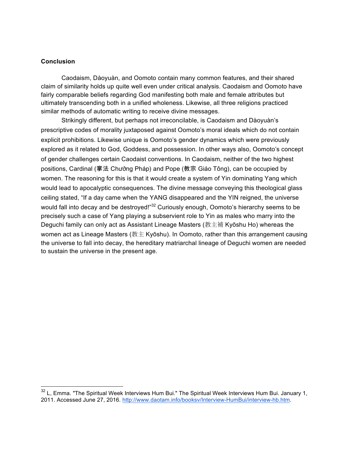#### **Conclusion**

Caodaism, Dàoyuàn, and Oomoto contain many common features, and their shared claim of similarity holds up quite well even under critical analysis. Caodaism and Oomoto have fairly comparable beliefs regarding God manifesting both male and female attributes but ultimately transcending both in a unified wholeness. Likewise, all three religions practiced similar methods of automatic writing to receive divine messages.

Strikingly different, but perhaps not irreconcilable, is Caodaism and Dàoyuàn's prescriptive codes of morality juxtaposed against Oomoto's moral ideals which do not contain explicit prohibitions. Likewise unique is Oomoto's gender dynamics which were previously explored as it related to God, Goddess, and possession. In other ways also, Oomoto's concept of gender challenges certain Caodaist conventions. In Caodaism, neither of the two highest positions, Cardinal (掌法 Chưởng Pháp) and Pope (教宗 Giáo Tông), can be occupied by women. The reasoning for this is that it would create a system of Yin dominating Yang which would lead to apocalyptic consequences. The divine message conveying this theological glass ceiling stated, "If a day came when the YANG disappeared and the YIN reigned, the universe would fall into decay and be destroyed!"<sup>32</sup> Curiously enough, Oomoto's hierarchy seems to be precisely such a case of Yang playing a subservient role to Yin as males who marry into the Deguchi family can only act as Assistant Lineage Masters (教主補 Kyōshu Ho) whereas the women act as Lineage Masters (教主 Kyōshu). In Oomoto, rather than this arrangement causing the universe to fall into decay, the hereditary matriarchal lineage of Deguchi women are needed to sustain the universe in the present age.

 $32$  L, Emma. "The Spiritual Week Interviews Hum Bui." The Spiritual Week Interviews Hum Bui. January 1, 2011. Accessed June 27, 2016. http://www.daotam.info/booksv/Interview-HumBui/interview-hb.htm.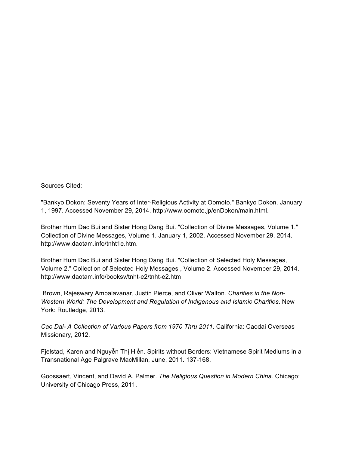Sources Cited:

"Bankyo Dokon: Seventy Years of Inter-Religious Activity at Oomoto." Bankyo Dokon. January 1, 1997. Accessed November 29, 2014. http://www.oomoto.jp/enDokon/main.html.

Brother Hum Dac Bui and Sister Hong Dang Bui. "Collection of Divine Messages, Volume 1." Collection of Divine Messages, Volume 1. January 1, 2002. Accessed November 29, 2014. http://www.daotam.info/tnht1e.htm.

Brother Hum Dac Bui and Sister Hong Dang Bui. "Collection of Selected Holy Messages, Volume 2." Collection of Selected Holy Messages , Volume 2. Accessed November 29, 2014. http://www.daotam.info/booksv/tnht-e2/tnht-e2.htm

Brown, Rajeswary Ampalavanar, Justin Pierce, and Oliver Walton. *Charities in the Non-Western World: The Development and Regulation of Indigenous and Islamic Charities*. New York: Routledge, 2013.

*Cao Dai- A Collection of Various Papers from 1970 Thru 2011*. California: Caodai Overseas Missionary, 2012.

Fjelstad, Karen and Nguyễn Thị Hiền. Spirits without Borders: Vietnamese Spirit Mediums in a Transnational Age Palgrave MacMillan, June, 2011. 137-168.

Goossaert, Vincent, and David A. Palmer. *The Religious Question in Modern China*. Chicago: University of Chicago Press, 2011.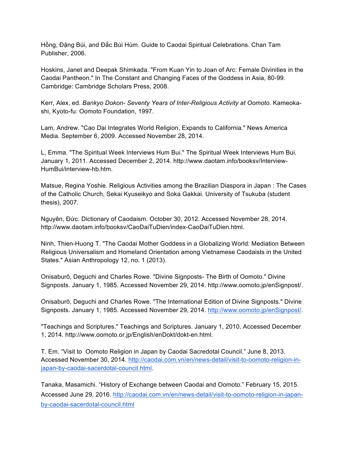Hồng, Đặng Bùi, and Đắc Bùi Hùm. Guide to Caodai Spiritual Celebrations. Chan Tam Publisher, 2006.

Hoskins, Janet and Deepak Shimkada. "From Kuan Yin to Joan of Arc: Female Divinities in the Caodai Pantheon." In The Constant and Changing Faces of the Goddess in Asia, 80-99. Cambridge: Cambridge Scholars Press, 2008.

Kerr, Alex, ed. *Bankyo Dokon- Seventy Years of Inter-Religious Activity at Oomoto*. Kameokashi, Kyoto-fu: Oomoto Foundation, 1997.

Lam, Andrew. "Cao Dai Integrates World Religion, Expands to California." News America Media. September 6, 2009. Accessed November 28, 2014.

L, Emma. "The Spiritual Week Interviews Hum Bui." The Spiritual Week Interviews Hum Bui. January 1, 2011. Accessed December 2, 2014. http://www.daotam.info/booksv/Interview-HumBui/interview-hb.htm.

Matsue, Regina Yoshie. Religious Activities among the Brazilian Diaspora in Japan : The Cases of the Catholic Church, Sekai Kyuseikyo and Soka Gakkai. University of Tsukuba (student thesis), 2007.

Nguyên, Ðức. Dictionary of Caodaism. October 30, 2012. Accessed November 28, 2014. http://www.daotam.info/booksv/CaoDaiTuDien/index-CaoDaiTuDien.html.

Ninh, Thien-Huong T. "The Caodai Mother Goddess in a Globalizing World: Mediation Between Religious Universalism and Homeland Orientation among Vietnamese Caodaists in the United States." Asian Anthropology 12, no. 1 (2013).

Onisaburō, Deguchi and Charles Rowe. "Divine Signposts- The Birth of Oomoto." Divine Signposts. January 1, 1985. Accessed November 29, 2014. http://www.oomoto.jp/enSignpost/.

Onisaburō, Deguchi and Charles Rowe. "The International Edition of Divine Signposts." Divine Signposts. January 1, 1985. Accessed November 29, 2014. http://www.oomoto.jp/enSignpost/.

"Teachings and Scriptures." Teachings and Scriptures. January 1, 2010. Accessed December 1, 2014. http://www.oomoto.or.jp/English/enDokt/dokt-en.html.

T. Em. "Visit to Oomoto Religion in Japan by Caodai Sacredotal Council." June 8, 2013. Accessed November 30, 2014. http://caodai.com.vn/en/news-detail/visit-to-oomoto-religion-injapan-by-caodai-sacerdotal-council.html.

Tanaka, Masamichi. "History of Exchange between Caodai and Oomoto." February 15, 2015. Accessed June 29, 2016. http://caodai.com.vn/en/news-detail/visit-to-oomoto-religion-in-japanby-caodai-sacerdotal-council.html